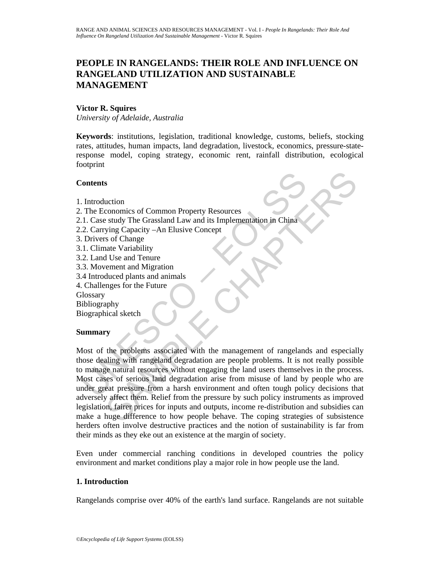# **PEOPLE IN RANGELANDS: THEIR ROLE AND INFLUENCE ON RANGELAND UTILIZATION AND SUSTAINABLE MANAGEMENT**

#### **Victor R. Squires**

*University of Adelaide, Australia* 

**Keywords**: institutions, legislation, traditional knowledge, customs, beliefs, stocking rates, attitudes, human impacts, land degradation, livestock, economics, pressure-stateresponse model, coping strategy, economic rent, rainfall distribution, ecological footprint

### **Contents**

- 1. Introduction
- 2. The Economics of Common Property Resources
- 2.1. Case study The Grassland Law and its Implementation in China
- 2.2. Carrying Capacity –An Elusive Concept
- 3. Drivers of Change
- 3.1. Climate Variability
- 3.2. Land Use and Tenure
- 3.3. Movement and Migration
- 3.4 Introduced plants and animals
- 4. Challenges for the Future
- **Glossary**
- Bibliography

Biographical sketch

# **Summary**

Contents<br>
Contents<br>
I. Case study The Grassland Law and its Implementation in China<br>
1. Case study The Grassland Law and its Implementation in China<br>
2. Carrying Capacity – An Elusive Concept<br>
1. Ulimate Variability<br>
2. La S<br>
socionomics of Common Property Resources<br>
study The Grassland Law and its Implementation in China<br>
ying Capacity –An Elusive Concept<br>
sof Change<br>
sof Change<br>
sof Change<br>
up the Variability<br>
d Use and Tenure<br>
ement and A Most of the problems associated with the management of rangelands and especially those dealing with rangeland degradation are people problems. It is not really possible to manage natural resources without engaging the land users themselves in the process. Most cases of serious land degradation arise from misuse of land by people who are under great pressure from a harsh environment and often tough policy decisions that adversely affect them. Relief from the pressure by such policy instruments as improved legislation, fairer prices for inputs and outputs, income re-distribution and subsidies can make a huge difference to how people behave. The coping strategies of subsistence herders often involve destructive practices and the notion of sustainability is far from their minds as they eke out an existence at the margin of society.

Even under commercial ranching conditions in developed countries the policy environment and market conditions play a major role in how people use the land.

# **1. Introduction**

Rangelands comprise over 40% of the earth's land surface. Rangelands are not suitable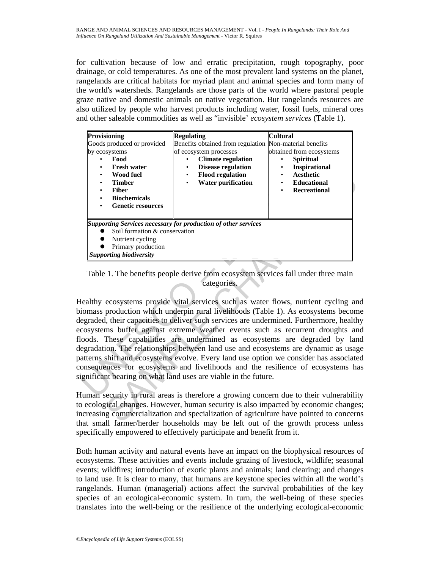for cultivation because of low and erratic precipitation, rough topography, poor drainage, or cold temperatures. As one of the most prevalent land systems on the planet, rangelands are critical habitats for myriad plant and animal species and form many of the world's watersheds. Rangelands are those parts of the world where pastoral people graze native and domestic animals on native vegetation. But rangelands resources are also utilized by people who harvest products including water, fossil fuels, mineral ores and other saleable commodities as well as "invisible' *ecosystem services* (Table 1).

| <b>Provisioning</b>                                                                                                                                                               | <b>Regulating</b>                                                                                                                                                                                                                                                                                                                                                                                                                                                                                                                                                                                                                                                                                                                                                                                                                                                     | <b>Cultural</b>                                                                                                                                       |
|-----------------------------------------------------------------------------------------------------------------------------------------------------------------------------------|-----------------------------------------------------------------------------------------------------------------------------------------------------------------------------------------------------------------------------------------------------------------------------------------------------------------------------------------------------------------------------------------------------------------------------------------------------------------------------------------------------------------------------------------------------------------------------------------------------------------------------------------------------------------------------------------------------------------------------------------------------------------------------------------------------------------------------------------------------------------------|-------------------------------------------------------------------------------------------------------------------------------------------------------|
| Goods produced or provided<br>by ecosystems<br>Food<br><b>Fresh water</b><br><b>Wood fuel</b><br><b>Timber</b><br><b>Fiber</b><br><b>Biochemicals</b><br><b>Genetic resources</b> | Benefits obtained from regulation Non-material benefits<br>of ecosystem processes<br><b>Climate regulation</b><br><b>Disease regulation</b><br><b>Flood regulation</b><br><b>Water purification</b>                                                                                                                                                                                                                                                                                                                                                                                                                                                                                                                                                                                                                                                                   | obtained from ecosystems<br><b>Spiritual</b><br><b>Inspirational</b><br>٠<br><b>Aesthetic</b><br>٠<br>Educational<br>$\bullet$<br><b>Recreational</b> |
| Soil formation & conservation<br>Nutrient cycling<br>Primary production<br><b>Supporting biodiversity</b>                                                                         | <b>Supporting Services necessary for production of other services</b>                                                                                                                                                                                                                                                                                                                                                                                                                                                                                                                                                                                                                                                                                                                                                                                                 |                                                                                                                                                       |
|                                                                                                                                                                                   | Table 1. The benefits people derive from ecosystem services fall under three main<br>categories.<br>lealthy ecosystems provide vital services such as water flows, nutrient cycling an<br>iomass production which underpin rural livelihoods (Table 1). As ecosystems becom<br>egraded, their capacities to deliver such services are undermined. Furthermore, health<br>cosystems buffer against extreme weather events such as recurrent droughts an<br>oods. These capabilities are undermined as ecosystems are degraded by lan<br>egradation. The relationships between land use and ecosystems are dynamic as usage<br>atterns shift and ecosystems evolve. Every land use option we consider has associate<br>onsequences for ecosystems and livelihoods and the resilience of ecosystems has<br>gnificant bearing on what land uses are viable in the future. |                                                                                                                                                       |
|                                                                                                                                                                                   | luman security in rural areas is therefore a growing concern due to their vulnerabilit<br>ecological changes. However, human security is also impacted by economic change<br>acreasing commercialization and specialization of agriculture have pointed to concerr<br>get small farmer/herder households may be left out of the growth process unles                                                                                                                                                                                                                                                                                                                                                                                                                                                                                                                  |                                                                                                                                                       |

Table 1. The benefits people derive from ecosystem services fall under three main categories.

Human security in rural areas is therefore a growing concern due to their vulnerability to ecological changes. However, human security is also impacted by economic changes; increasing commercialization and specialization of agriculture have pointed to concerns that small farmer/herder households may be left out of the growth process unless specifically empowered to effectively participate and benefit from it.

Both human activity and natural events have an impact on the biophysical resources of ecosystems. These activities and events include grazing of livestock, wildlife; seasonal events; wildfires; introduction of exotic plants and animals; land clearing; and changes to land use. It is clear to many, that humans are keystone species within all the world's rangelands. Human (managerial) actions affect the survival probabilities of the key species of an ecological-economic system. In turn, the well-being of these species translates into the well-being or the resilience of the underlying ecological-economic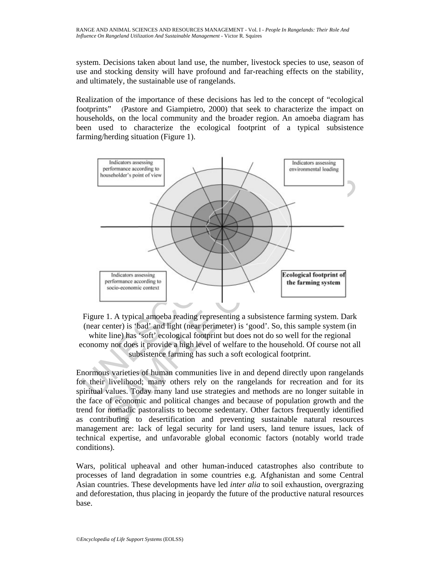system. Decisions taken about land use, the number, livestock species to use, season of use and stocking density will have profound and far-reaching effects on the stability, and ultimately, the sustainable use of rangelands.

Realization of the importance of these decisions has led to the concept of "ecological footprints" (Pastore and Giampietro, 2000) that seek to characterize the impact on households, on the local community and the broader region. An amoeba diagram has been used to characterize the ecological footprint of a typical subsistence farming/herding situation (Figure 1).





Enormous varieties of human communities live in and depend directly upon rangelands for their livelihood; many others rely on the rangelands for recreation and for its spiritual values. Today many land use strategies and methods are no longer suitable in the face of economic and political changes and because of population growth and the trend for nomadic pastoralists to become sedentary. Other factors frequently identified as contributing to desertification and preventing sustainable natural resources management are: lack of legal security for land users, land tenure issues, lack of technical expertise, and unfavorable global economic factors (notably world trade conditions).

Wars, political upheaval and other human-induced catastrophes also contribute to processes of land degradation in some countries e.g. Afghanistan and some Central Asian countries. These developments have led *inter alia* to soil exhaustion, overgrazing and deforestation, thus placing in jeopardy the future of the productive natural resources base.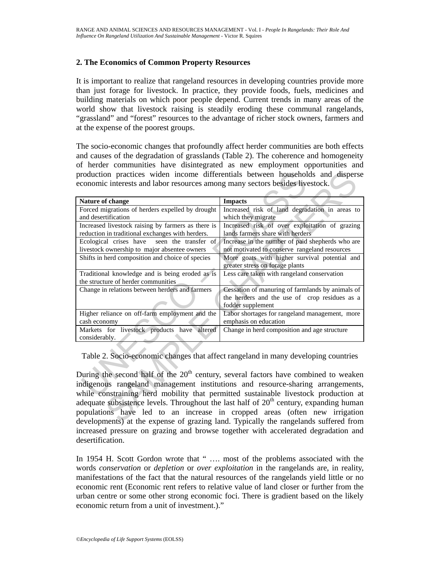### **2. The Economics of Common Property Resources**

It is important to realize that rangeland resources in developing countries provide more than just forage for livestock. In practice, they provide foods, fuels, medicines and building materials on which poor people depend. Current trends in many areas of the world show that livestock raising is steadily eroding these communal rangelands, "grassland" and "forest" resources to the advantage of richer stock owners, farmers and at the expense of the poorest groups.

The socio-economic changes that profoundly affect herder communities are both effects and causes of the degradation of grasslands (Table 2). The coherence and homogeneity of herder communities have disintegrated as new employment opportunities and production practices widen income differentials between households and disperse economic interests and labor resources among many sectors besides livestock.

| economic interests and labor resources among many sectors besides livestock.                                                                                                | production practices widen income differentials between households and disperse |  |  |
|-----------------------------------------------------------------------------------------------------------------------------------------------------------------------------|---------------------------------------------------------------------------------|--|--|
|                                                                                                                                                                             |                                                                                 |  |  |
| Nature of change                                                                                                                                                            | <b>Impacts</b>                                                                  |  |  |
| Forced migrations of herders expelled by drought                                                                                                                            | Increased risk of land degradation in areas to                                  |  |  |
| and desertification                                                                                                                                                         | which they migrate                                                              |  |  |
| Increased livestock raising by farmers as there is                                                                                                                          | Increased risk of over exploitation of grazing                                  |  |  |
| reduction in traditional exchanges with herders.                                                                                                                            | lands farmers share with herders                                                |  |  |
| Ecological crises have<br>seen the transfer of                                                                                                                              | Increase in the number of paid shepherds who are                                |  |  |
| livestock ownership to major absentee owners                                                                                                                                | not motivated to conserve rangeland resources                                   |  |  |
| Shifts in herd composition and choice of species                                                                                                                            | More goats with higher survival potential and                                   |  |  |
|                                                                                                                                                                             | greater stress on forage plants                                                 |  |  |
| Traditional knowledge and is being eroded as is                                                                                                                             | Less care taken with rangeland conservation                                     |  |  |
| the structure of herder communities                                                                                                                                         |                                                                                 |  |  |
| Change in relations between herders and farmers                                                                                                                             | Cessation of manuring of farmlands by animals of                                |  |  |
|                                                                                                                                                                             | the herders and the use of crop residues as a                                   |  |  |
|                                                                                                                                                                             | fodder supplement                                                               |  |  |
| Higher reliance on off-farm employment and the                                                                                                                              | Labor shortages for rangeland management, more                                  |  |  |
| cash economy                                                                                                                                                                | emphasis on education                                                           |  |  |
| Markets for livestock products have altered<br>considerably.                                                                                                                | Change in herd composition and age structure                                    |  |  |
| Table 2. Socio-economic changes that affect rangeland in many developing countries<br>During the second half of the $20th$ century, several factors have combined to weaken |                                                                                 |  |  |
|                                                                                                                                                                             |                                                                                 |  |  |
| indigenous rangeland management institutions and resource-sharing arrangements,                                                                                             |                                                                                 |  |  |
| while constraining herd mobility that permitted sustainable livestock production at                                                                                         |                                                                                 |  |  |
| adequate subsistence levels. Throughout the last half of $20th$ century, expanding human                                                                                    |                                                                                 |  |  |
| populations have led to an increase in cropped areas (often new irrigation                                                                                                  |                                                                                 |  |  |
| developments) at the expense of grazing land. Typically the rangelands suffered from                                                                                        |                                                                                 |  |  |

During the second half of the  $20<sup>th</sup>$  century, several factors have combined to weaken indigenous rangeland management institutions and resource-sharing arrangements, while constraining herd mobility that permitted sustainable livestock production at adequate subsistence levels. Throughout the last half of  $20<sup>th</sup>$  century, expanding human populations have led to an increase in cropped areas (often new irrigation developments) at the expense of grazing land. Typically the rangelands suffered from increased pressure on grazing and browse together with accelerated degradation and desertification.

In 1954 H. Scott Gordon wrote that " .... most of the problems associated with the words *conservation* or *depletion* or *over exploitation* in the rangelands are, in reality, manifestations of the fact that the natural resources of the rangelands yield little or no economic rent (Economic rent refers to relative value of land closer or further from the urban centre or some other strong economic foci. There is gradient based on the likely economic return from a unit of investment.)."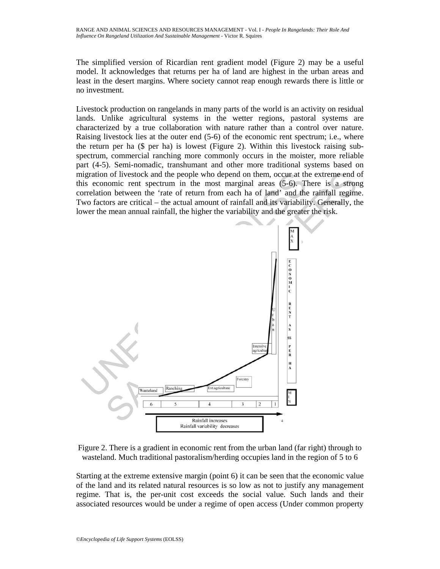The simplified version of Ricardian rent gradient model (Figure 2) may be a useful model. It acknowledges that returns per ha of land are highest in the urban areas and least in the desert margins. Where society cannot reap enough rewards there is little or no investment.

Livestock production on rangelands in many parts of the world is an activity on residual lands. Unlike agricultural systems in the wetter regions, pastoral systems are characterized by a true collaboration with nature rather than a control over nature. Raising livestock lies at the outer end (5-6) of the economic rent spectrum; i.e., where the return per ha (\$ per ha) is lowest (Figure 2). Within this livestock raising subspectrum, commercial ranching more commonly occurs in the moister, more reliable part (4-5). Semi-nomadic, transhumant and other more traditional systems based on migration of livestock and the people who depend on them, occur at the extreme end of this economic rent spectrum in the most marginal areas (5-6). There is a strong correlation between the 'rate of return from each ha of land' and the rainfall regime. Two factors are critical – the actual amount of rainfall and its variability. Generally, the lower the mean annual rainfall, the higher the variability and the greater the risk.



Figure 2. There is a gradient in economic rent from the urban land (far right) through to wasteland. Much traditional pastoralism/herding occupies land in the region of 5 to 6

Starting at the extreme extensive margin (point 6) it can be seen that the economic value of the land and its related natural resources is so low as not to justify any management regime. That is, the per-unit cost exceeds the social value. Such lands and their associated resources would be under a regime of open access (Under common property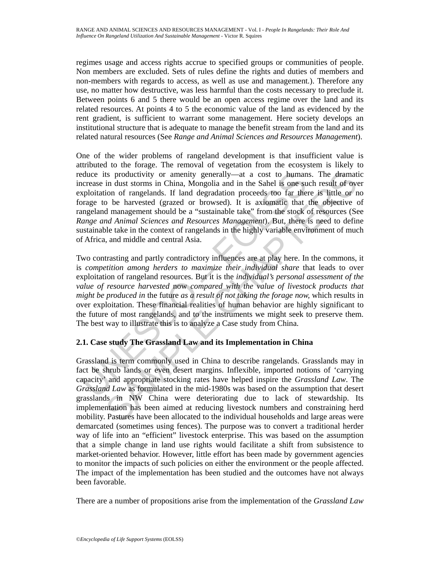regimes usage and access rights accrue to specified groups or communities of people. Non members are excluded. Sets of rules define the rights and duties of members and non-members with regards to access, as well as use and management.). Therefore any use, no matter how destructive, was less harmful than the costs necessary to preclude it. Between points 6 and 5 there would be an open access regime over the land and its related resources. At points 4 to 5 the economic value of the land as evidenced by the rent gradient, is sufficient to warrant some management. Here society develops an institutional structure that is adequate to manage the benefit stream from the land and its related natural resources (See *Range and Animal Sciences and Resources Management*).

One of the wider problems of rangeland development is that insufficient value is attributed to the forage. The removal of vegetation from the ecosystem is likely to reduce its productivity or amenity generally—at a cost to humans. The dramatic increase in dust storms in China, Mongolia and in the Sahel is one such result of over exploitation of rangelands. If land degradation proceeds too far there is little or no forage to be harvested (grazed or browsed). It is axiomatic that the objective of rangeland management should be a "sustainable take" from the stock of resources (See *Range and Animal Sciences and Resources Management*). But, there is need to define sustainable take in the context of rangelands in the highly variable environment of much of Africa, and middle and central Asia.

relative its productivity or amenity generally—at a cost to human<br>crease in dus storms in China, Mongolia and in the Sahel is one su<br>syploitation of rangelands. If land degradation proceeds too far the<br>prage to be harveste is productivity or amenity generally—at a cost to humans. The dramation of ranguial in dust storms in China, Mongolia and in the Sahel is one such result of over the same and in the Sahel is one such result of over a high Two contrasting and partly contradictory influences are at play here. In the commons, it is *competition among herders to maximize their individual share* that leads to over exploitation of rangeland resources. But it is the *individual's personal assessment of the value of resource harvested* now *compared with the value of livestock products that might be produced in* the future *as a result of not taking the forage now,* which results in over exploitation. These financial realities of human behavior are highly significant to the future of most rangelands, and to the instruments we might seek to preserve them. The best way to illustrate this is to analyze a Case study from China.

# **2.1. Case study The Grassland Law and its Implementation in China**

Grassland is term commonly used in China to describe rangelands. Grasslands may in fact be shrub lands or even desert margins. Inflexible, imported notions of 'carrying capacity' and appropriate stocking rates have helped inspire the *Grassland Law*. The *Grassland Law* as formulated in the mid-1980s was based on the assumption that desert grasslands in NW China were deteriorating due to lack of stewardship. Its implementation has been aimed at reducing livestock numbers and constraining herd mobility. Pastures have been allocated to the individual households and large areas were demarcated (sometimes using fences). The purpose was to convert a traditional herder way of life into an "efficient" livestock enterprise. This was based on the assumption that a simple change in land use rights would facilitate a shift from subsistence to market-oriented behavior. However, little effort has been made by government agencies to monitor the impacts of such policies on either the environment or the people affected. The impact of the implementation has been studied and the outcomes have not always been favorable.

There are a number of propositions arise from the implementation of the *Grassland Law*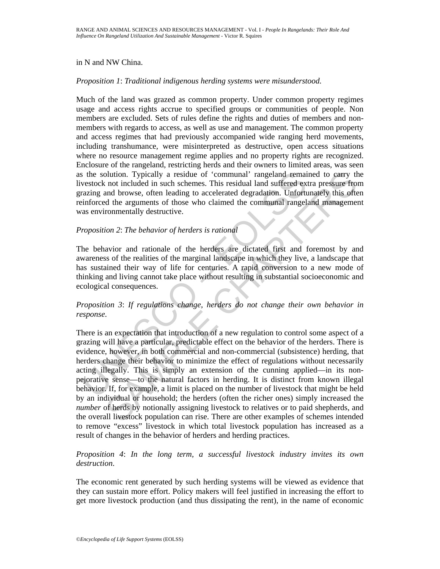#### in N and NW China.

#### *Proposition 1*: *Traditional indigenous herding systems were misunderstood.*

Much of the land was grazed as common property. Under common property regimes usage and access rights accrue to specified groups or communities of people. Non members are excluded. Sets of rules define the rights and duties of members and nonmembers with regards to access, as well as use and management. The common property and access regimes that had previously accompanied wide ranging herd movements, including transhumance, were misinterpreted as destructive, open access situations where no resource management regime applies and no property rights are recognized. Enclosure of the rangeland, restricting herds and their owners to limited areas, was seen as the solution. Typically a residue of 'communal' rangeland remained to carry the livestock not included in such schemes. This residual land suffered extra pressure from grazing and browse, often leading to accelerated degradation. Unfortunately this often reinforced the arguments of those who claimed the communal rangeland management was environmentally destructive.

### *Proposition 2*: *The behavior of herders is rational*

The behavior and rationale of the herders are dictated first and foremost by and awareness of the realities of the marginal landscape in which they live, a landscape that has sustained their way of life for centuries. A rapid conversion to a new mode of thinking and living cannot take place without resulting in substantial socioeconomic and ecological consequences.

# *Proposition 3*: *If regulations change, herders do not change their own behavior in response*.

s the solution. Typically a residue of 'communal' rangeland remaintivestock not included in such schemes. This residual land suffered ex-<br>razing and browse, often leading to accelerated degradation. Unfortunating<br>razing ma bution. Typically a residue of 'communal' rangeland remained to carry the not included in such combass. This residual land suffred extra pressure from the and such and browse, often leading to accelerated degradation. Unfo There is an expectation that introduction of a new regulation to control some aspect of a grazing will have a particular, predictable effect on the behavior of the herders. There is evidence, however, in both commercial and non-commercial (subsistence) herding, that herders change their behavior to minimize the effect of regulations without necessarily acting illegally. This is simply an extension of the cunning applied—in its nonpejorative sense—to the natural factors in herding. It is distinct from known illegal behavior. If, for example, a limit is placed on the number of livestock that might be held by an individual or household; the herders (often the richer ones) simply increased the *number* of herds by notionally assigning livestock to relatives or to paid shepherds, and the overall livestock population can rise. There are other examples of schemes intended to remove "excess" livestock in which total livestock population has increased as a result of changes in the behavior of herders and herding practices.

### *Proposition 4*: *In the long term, a successful livestock industry invites its own destruction*.

The economic rent generated by such herding systems will be viewed as evidence that they can sustain more effort. Policy makers will feel justified in increasing the effort to get more livestock production (and thus dissipating the rent), in the name of economic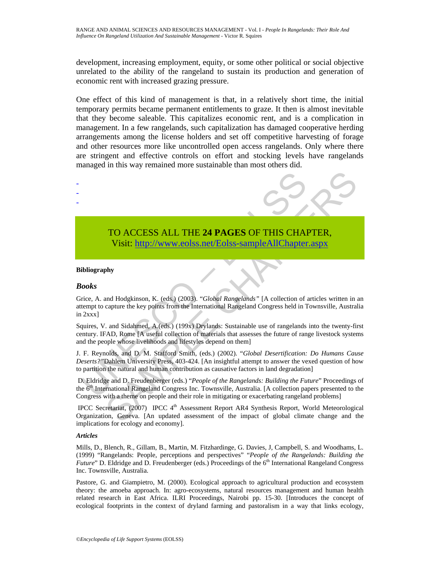development, increasing employment, equity, or some other political or social objective unrelated to the ability of the rangeland to sustain its production and generation of economic rent with increased grazing pressure.

One effect of this kind of management is that, in a relatively short time, the initial temporary permits became permanent entitlements to graze. It then is almost inevitable that they become saleable. This capitalizes economic rent, and is a complication in management. In a few rangelands, such capitalization has damaged cooperative herding arrangements among the license holders and set off competitive harvesting of forage and other resources more like uncontrolled open access rangelands. Only where there are stringent and effective controls on effort and stocking levels have rangelands managed in this way remained more sustainable than most others did.



Visit: http://www.eolss.net/Eolss-sampleAllChapter.aspx

#### **Bibliography**

#### *Books*

- - -

Grice, A. and Hodgkinson, K. (eds.) (2003). "*Global Rangelands"* [A collection of articles written in an attempt to capture the key points from the International Rangeland Congress held in Townsville, Australia in 2xxx]

Squires, V. and Sidahmed, A.(eds.) (199x) Drylands: Sustainable use of rangelands into the twenty-first century. IFAD, Rome [A useful collection of materials that assesses the future of range livestock systems and the people whose livelihoods and lifestyles depend on them]

J. F. Reynolds, and D. M. Stafford Smith, (eds.) (2002). "*Global Desertification: Do Humans Cause Deserts?"*Dahlem University Press, 403-424. [An insightful attempt to answer the vexed question of how to partition the natural and human contribution as causative factors in land degradation]

 D. Eldridge and D. Freudenberger (eds.) "*People of the Rangelands: Building the Future*" Proceedings of the 6<sup>th</sup> International Rangeland Congress Inc. Townsville, Australia. [A collection papers presented to the Congress with a theme on people and their role in mitigating or exacerbating rangeland problems]

IPCC Secretariat, (2007) IPCC 4<sup>th</sup> Assessment Report AR4 Synthesis Report, World Meteorological Organization, Geneva. [An updated assessment of the impact of global climate change and the implications for ecology and economy].

#### *Articles*

Mills, D., Blench, R., Gillam, B., Martin, M. Fitzhardinge, G. Davies, J, Campbell, S. and Woodhams, L. (1999) "Rangelands: People, perceptions and perspectives" "*People of the Rangelands: Building the Future*" D. Eldridge and D. Freudenberger (eds.) Proceedings of the 6<sup>th</sup> International Rangeland Congress Inc. Townsville, Australia.

Pastore, G. and Giampietro, M. (2000). Ecological approach to agricultural production and ecosystem theory: the amoeba approach. In: agro-ecosystems, natural resources management and human health related research in East Africa. ILRI Proceedings, Nairobi pp. 15-30. [Introduces the concept of ecological footprints in the context of dryland farming and pastoralism in a way that links ecology,